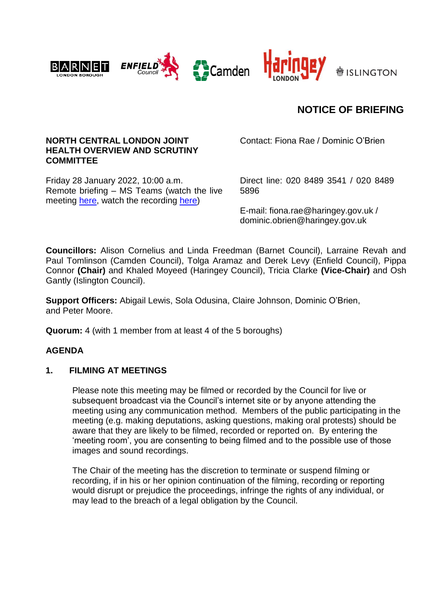



# **NOTICE OF BRIEFING**

#### **NORTH CENTRAL LONDON JOINT HEALTH OVERVIEW AND SCRUTINY COMMITTEE**

Friday 28 January 2022, 10:00 a.m. Remote briefing – MS Teams (watch the live meeting [here,](https://teams.microsoft.com/l/meetup-join/19%3ameeting_Nzc1MjMwNGYtNzVlNi00MjVmLTlkYTktMWI3M2RmN2IwNTVm%40thread.v2/0?context=%7b%22Tid%22%3a%226ddfa760-8cd5-44a8-8e48-d8ca487731c3%22%2c%22Oid%22%3a%22515ca3a4-dc98-4c16-9d83-85d643583e43%22%7d) watch the recording [here\)](https://www.youtube.com/playlist?list=PL_DSjoFpWl8tSPZp3XSVAEhv-gWr-6Vzd)

Contact: Fiona Rae / Dominic O'Brien

Direct line: 020 8489 3541 / 020 8489 5896

E-mail: fiona.rae@haringey.gov.uk / dominic.obrien@haringey.gov.uk

**Councillors:** Alison Cornelius and Linda Freedman (Barnet Council), Larraine Revah and Paul Tomlinson (Camden Council), Tolga Aramaz and Derek Levy (Enfield Council), Pippa Connor **(Chair)** and Khaled Moyeed (Haringey Council), Tricia Clarke **(Vice-Chair)** and Osh Gantly (Islington Council).

**Support Officers:** Abigail Lewis, Sola Odusina, Claire Johnson, Dominic O'Brien, and Peter Moore.

**Quorum:** 4 (with 1 member from at least 4 of the 5 boroughs)

#### **AGENDA**

#### **1. FILMING AT MEETINGS**

Please note this meeting may be filmed or recorded by the Council for live or subsequent broadcast via the Council's internet site or by anyone attending the meeting using any communication method. Members of the public participating in the meeting (e.g. making deputations, asking questions, making oral protests) should be aware that they are likely to be filmed, recorded or reported on. By entering the 'meeting room', you are consenting to being filmed and to the possible use of those images and sound recordings.

The Chair of the meeting has the discretion to terminate or suspend filming or recording, if in his or her opinion continuation of the filming, recording or reporting would disrupt or prejudice the proceedings, infringe the rights of any individual, or may lead to the breach of a legal obligation by the Council.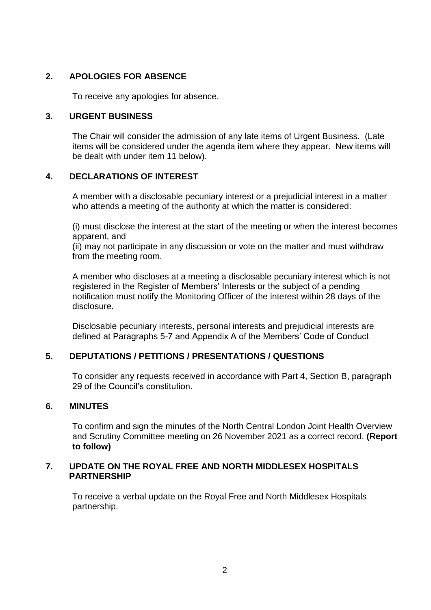# **2. APOLOGIES FOR ABSENCE**

To receive any apologies for absence.

#### **3. URGENT BUSINESS**

The Chair will consider the admission of any late items of Urgent Business. (Late items will be considered under the agenda item where they appear. New items will be dealt with under item 11 below).

# **4. DECLARATIONS OF INTEREST**

A member with a disclosable pecuniary interest or a prejudicial interest in a matter who attends a meeting of the authority at which the matter is considered:

(i) must disclose the interest at the start of the meeting or when the interest becomes apparent, and

(ii) may not participate in any discussion or vote on the matter and must withdraw from the meeting room.

A member who discloses at a meeting a disclosable pecuniary interest which is not registered in the Register of Members' Interests or the subject of a pending notification must notify the Monitoring Officer of the interest within 28 days of the disclosure.

Disclosable pecuniary interests, personal interests and prejudicial interests are defined at Paragraphs 5-7 and Appendix A of the Members' Code of Conduct

## **5. DEPUTATIONS / PETITIONS / PRESENTATIONS / QUESTIONS**

To consider any requests received in accordance with Part 4, Section B, paragraph 29 of the Council's constitution

## **6. MINUTES**

To confirm and sign the minutes of the North Central London Joint Health Overview and Scrutiny Committee meeting on 26 November 2021 as a correct record. **(Report to follow)**

#### **7. UPDATE ON THE ROYAL FREE AND NORTH MIDDLESEX HOSPITALS PARTNERSHIP**

To receive a verbal update on the Royal Free and North Middlesex Hospitals partnership.